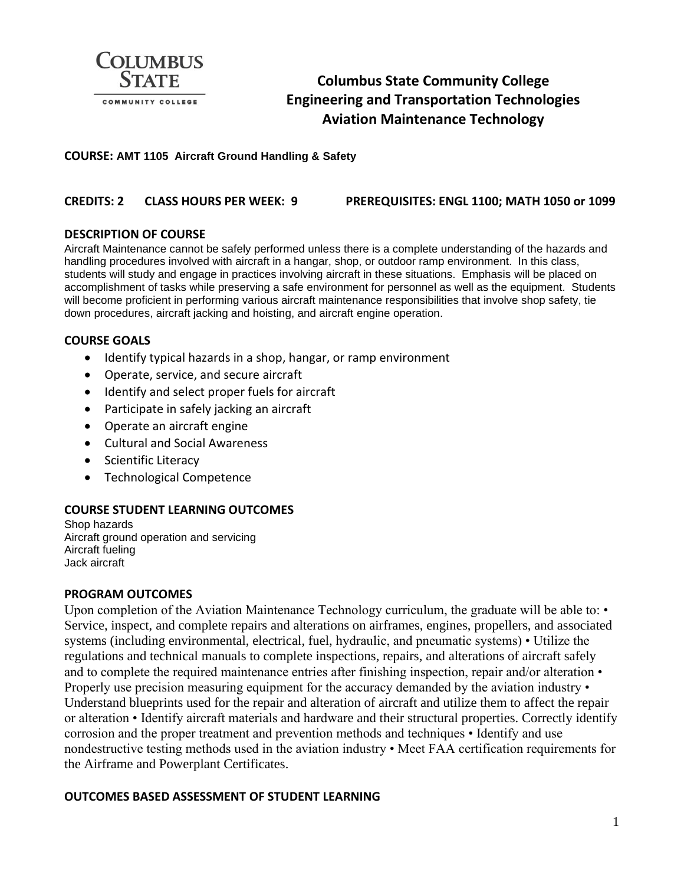

# **Columbus State Community College Engineering and Transportation Technologies Aviation Maintenance Technology**

#### **COURSE: AMT 1105 Aircraft Ground Handling & Safety**

### **CREDITS: 2 CLASS HOURS PER WEEK: 9 PREREQUISITES: ENGL 1100; MATH 1050 or 1099**

#### **DESCRIPTION OF COURSE**

Aircraft Maintenance cannot be safely performed unless there is a complete understanding of the hazards and handling procedures involved with aircraft in a hangar, shop, or outdoor ramp environment. In this class, students will study and engage in practices involving aircraft in these situations. Emphasis will be placed on accomplishment of tasks while preserving a safe environment for personnel as well as the equipment. Students will become proficient in performing various aircraft maintenance responsibilities that involve shop safety, tie down procedures, aircraft jacking and hoisting, and aircraft engine operation.

#### **COURSE GOALS**

- Identify typical hazards in a shop, hangar, or ramp environment
- Operate, service, and secure aircraft
- Identify and select proper fuels for aircraft
- Participate in safely jacking an aircraft
- Operate an aircraft engine
- Cultural and Social Awareness
- Scientific Literacy
- Technological Competence

#### **COURSE STUDENT LEARNING OUTCOMES**

Shop hazards Aircraft ground operation and servicing Aircraft fueling Jack aircraft

#### **PROGRAM OUTCOMES**

Upon completion of the Aviation Maintenance Technology curriculum, the graduate will be able to: • Service, inspect, and complete repairs and alterations on airframes, engines, propellers, and associated systems (including environmental, electrical, fuel, hydraulic, and pneumatic systems) • Utilize the regulations and technical manuals to complete inspections, repairs, and alterations of aircraft safely and to complete the required maintenance entries after finishing inspection, repair and/or alteration • Properly use precision measuring equipment for the accuracy demanded by the aviation industry  $\cdot$ Understand blueprints used for the repair and alteration of aircraft and utilize them to affect the repair or alteration • Identify aircraft materials and hardware and their structural properties. Correctly identify corrosion and the proper treatment and prevention methods and techniques • Identify and use nondestructive testing methods used in the aviation industry • Meet FAA certification requirements for the Airframe and Powerplant Certificates.

#### **OUTCOMES BASED ASSESSMENT OF STUDENT LEARNING**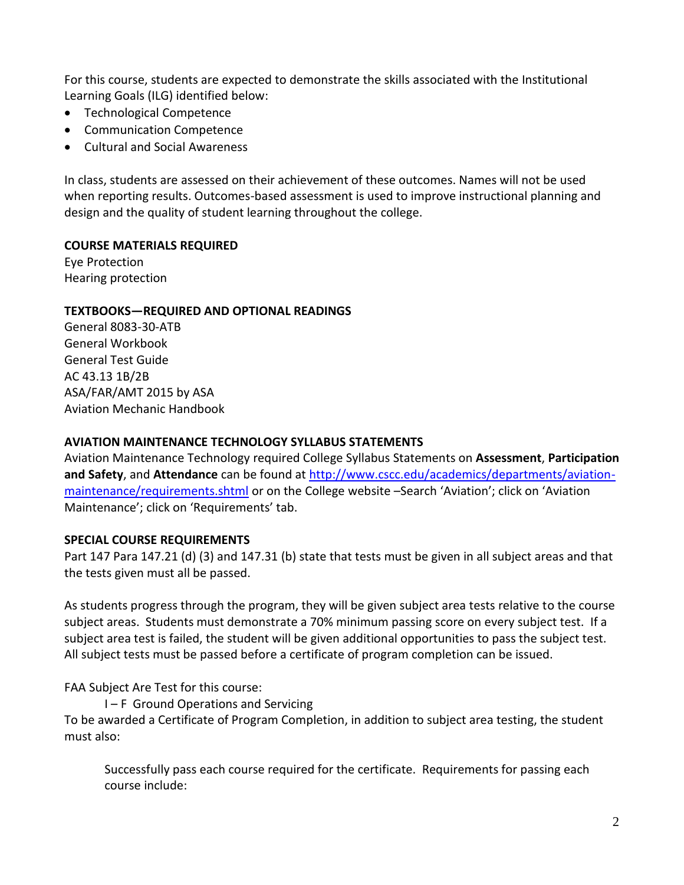For this course, students are expected to demonstrate the skills associated with the Institutional Learning Goals (ILG) identified below:

- Technological Competence
- Communication Competence
- Cultural and Social Awareness

In class, students are assessed on their achievement of these outcomes. Names will not be used when reporting results. Outcomes-based assessment is used to improve instructional planning and design and the quality of student learning throughout the college.

# **COURSE MATERIALS REQUIRED**

Eye Protection Hearing protection

# **TEXTBOOKS—REQUIRED AND OPTIONAL READINGS**

General 8083-30-ATB General Workbook General Test Guide AC 43.13 1B/2B ASA/FAR/AMT 2015 by ASA Aviation Mechanic Handbook

### **AVIATION MAINTENANCE TECHNOLOGY SYLLABUS STATEMENTS**

Aviation Maintenance Technology required College Syllabus Statements on **Assessment**, **Participation and Safety**, and **Attendance** can be found a[t http://www.cscc.edu/academics/departments/aviation](http://www.cscc.edu/academics/departments/aviation-maintenance/requirements.shtml)[maintenance/requirements.shtml](http://www.cscc.edu/academics/departments/aviation-maintenance/requirements.shtml) or on the College website –Search 'Aviation'; click on 'Aviation Maintenance'; click on 'Requirements' tab.

# **SPECIAL COURSE REQUIREMENTS**

Part 147 Para 147.21 (d) (3) and 147.31 (b) state that tests must be given in all subject areas and that the tests given must all be passed.

As students progress through the program, they will be given subject area tests relative to the course subject areas. Students must demonstrate a 70% minimum passing score on every subject test. If a subject area test is failed, the student will be given additional opportunities to pass the subject test. All subject tests must be passed before a certificate of program completion can be issued.

FAA Subject Are Test for this course:

I – F Ground Operations and Servicing To be awarded a Certificate of Program Completion, in addition to subject area testing, the student must also:

Successfully pass each course required for the certificate. Requirements for passing each course include: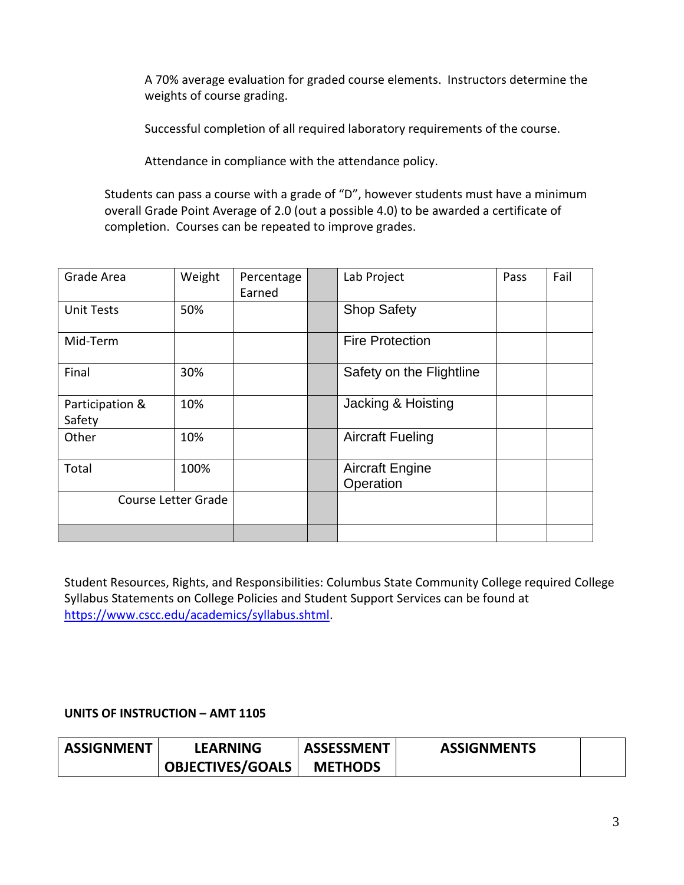A 70% average evaluation for graded course elements. Instructors determine the weights of course grading.

Successful completion of all required laboratory requirements of the course.

Attendance in compliance with the attendance policy.

Students can pass a course with a grade of "D", however students must have a minimum overall Grade Point Average of 2.0 (out a possible 4.0) to be awarded a certificate of completion. Courses can be repeated to improve grades.

| Grade Area                | Weight | Percentage<br>Earned | Lab Project                         | Pass | Fail |
|---------------------------|--------|----------------------|-------------------------------------|------|------|
| <b>Unit Tests</b>         | 50%    |                      | <b>Shop Safety</b>                  |      |      |
| Mid-Term                  |        |                      | <b>Fire Protection</b>              |      |      |
| Final                     | 30%    |                      | Safety on the Flightline            |      |      |
| Participation &<br>Safety | 10%    |                      | Jacking & Hoisting                  |      |      |
| Other                     | 10%    |                      | <b>Aircraft Fueling</b>             |      |      |
| Total                     | 100%   |                      | <b>Aircraft Engine</b><br>Operation |      |      |
| Course Letter Grade       |        |                      |                                     |      |      |
|                           |        |                      |                                     |      |      |

Student Resources, Rights, and Responsibilities: Columbus State Community College required College Syllabus Statements on College Policies and Student Support Services can be found at [https://www.cscc.edu/academics/syllabus.shtml.](https://www.cscc.edu/academics/syllabus.shtml)

# **UNITS OF INSTRUCTION – AMT 1105**

| <b>ASSIGNMENT</b> | <b>LEARNING</b>         | <b>ASSESSMENT</b> | <b>ASSIGNMENTS</b> |  |
|-------------------|-------------------------|-------------------|--------------------|--|
|                   | <b>OBJECTIVES/GOALS</b> | <b>METHODS</b>    |                    |  |